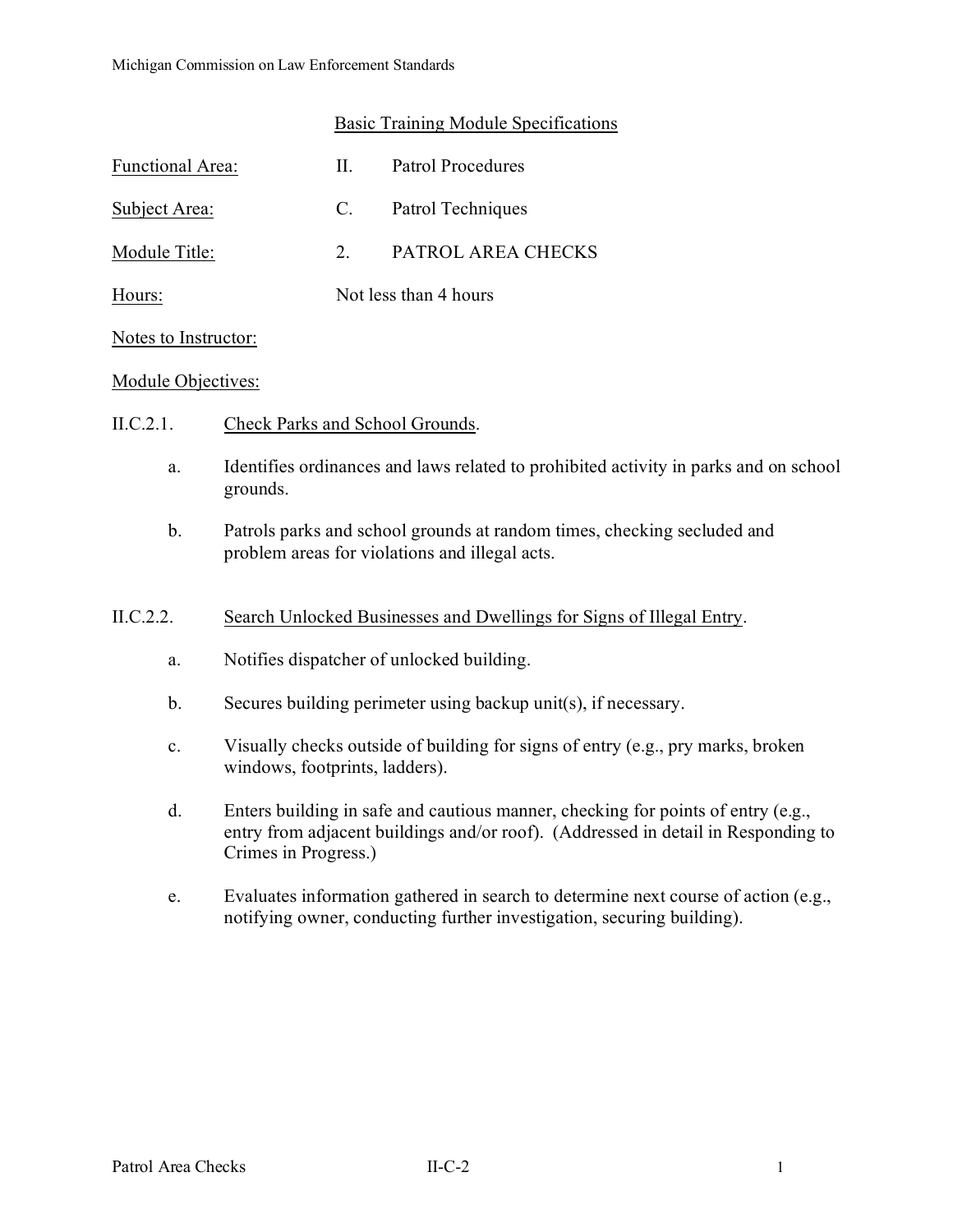### Basic Training Module Specifications

| Functional Area: | Н.                    | Patrol Procedures  |
|------------------|-----------------------|--------------------|
| Subject Area:    | C.                    | Patrol Techniques  |
| Module Title:    | $\mathcal{P}$         | PATROL AREA CHECKS |
| Hours:           | Not less than 4 hours |                    |

#### Notes to Instructor:

#### Module Objectives:

- II.C.2.1. Check Parks and School Grounds.
	- a. Identifies ordinances and laws related to prohibited activity in parks and on school grounds.
	- b. Patrols parks and school grounds at random times, checking secluded and problem areas for violations and illegal acts.

### II.C.2.2. Search Unlocked Businesses and Dwellings for Signs of Illegal Entry.

- a. Notifies dispatcher of unlocked building.
- b. Secures building perimeter using backup unit(s), if necessary.
- c. Visually checks outside of building for signs of entry (e.g., pry marks, broken windows, footprints, ladders).
- d. Enters building in safe and cautious manner, checking for points of entry (e.g., entry from adjacent buildings and/or roof). (Addressed in detail in Responding to Crimes in Progress.)
- e. Evaluates information gathered in search to determine next course of action (e.g., notifying owner, conducting further investigation, securing building).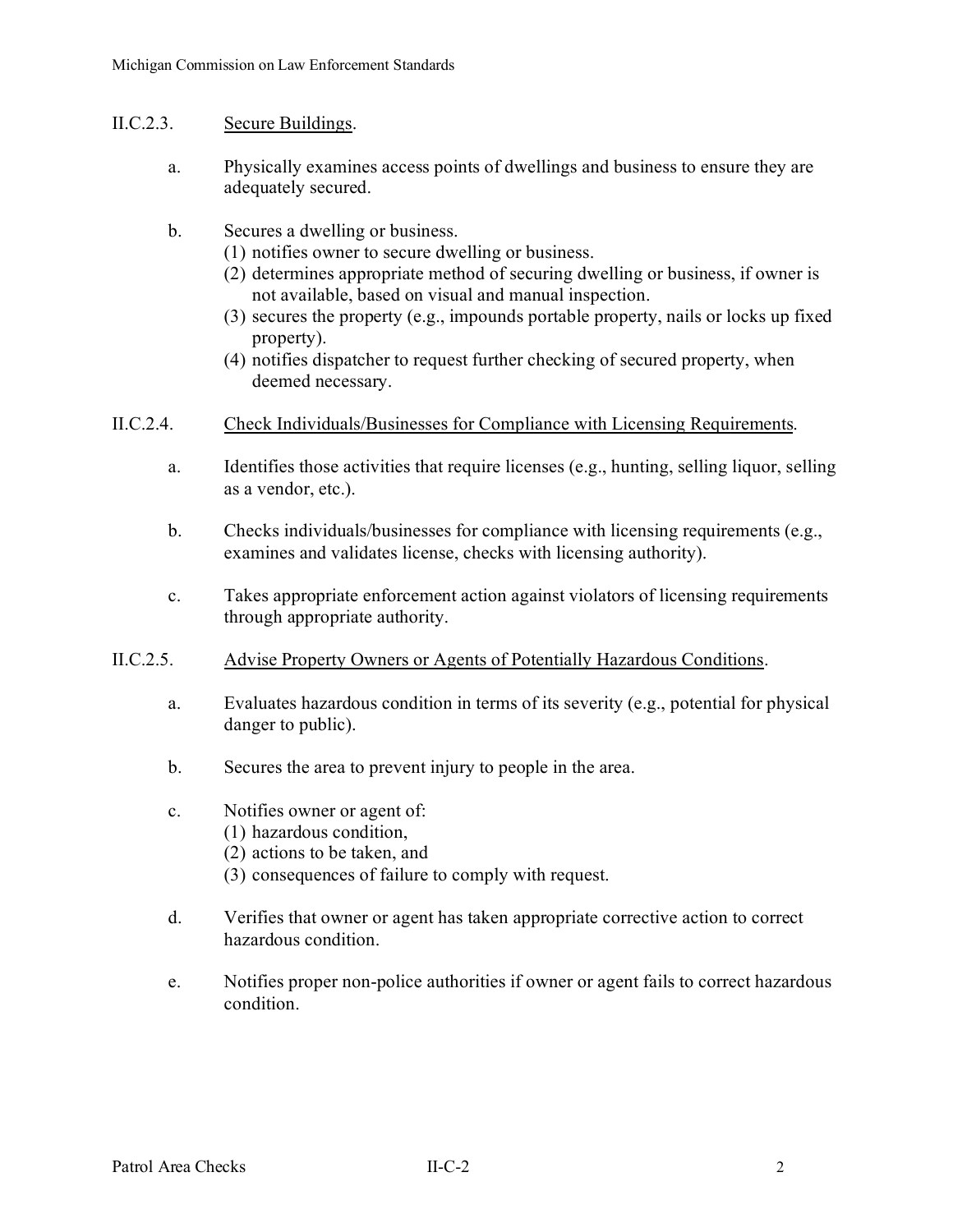- II.C.2.3. Secure Buildings.
	- a. Physically examines access points of dwellings and business to ensure they are adequately secured.
	- b. Secures a dwelling or business.
		- (1) notifies owner to secure dwelling or business.
		- (2) determines appropriate method of securing dwelling or business, if owner is not available, based on visual and manual inspection.
		- (3) secures the property (e.g., impounds portable property, nails or locks up fixed property).
		- (4) notifies dispatcher to request further checking of secured property, when deemed necessary.
- II.C.2.4. Check Individuals/Businesses for Compliance with Licensing Requirements.
	- a. Identifies those activities that require licenses (e.g., hunting, selling liquor, selling as a vendor, etc.).
	- b. Checks individuals/businesses for compliance with licensing requirements (e.g., examines and validates license, checks with licensing authority).
	- c. Takes appropriate enforcement action against violators of licensing requirements through appropriate authority.
- II.C.2.5. Advise Property Owners or Agents of Potentially Hazardous Conditions.
	- a. Evaluates hazardous condition in terms of its severity (e.g., potential for physical danger to public).
	- b. Secures the area to prevent injury to people in the area.
	- c. Notifies owner or agent of:
		- (1) hazardous condition,
		- (2) actions to be taken, and
		- (3) consequences of failure to comply with request.
	- d. Verifies that owner or agent has taken appropriate corrective action to correct hazardous condition.
	- e. Notifies proper non-police authorities if owner or agent fails to correct hazardous condition.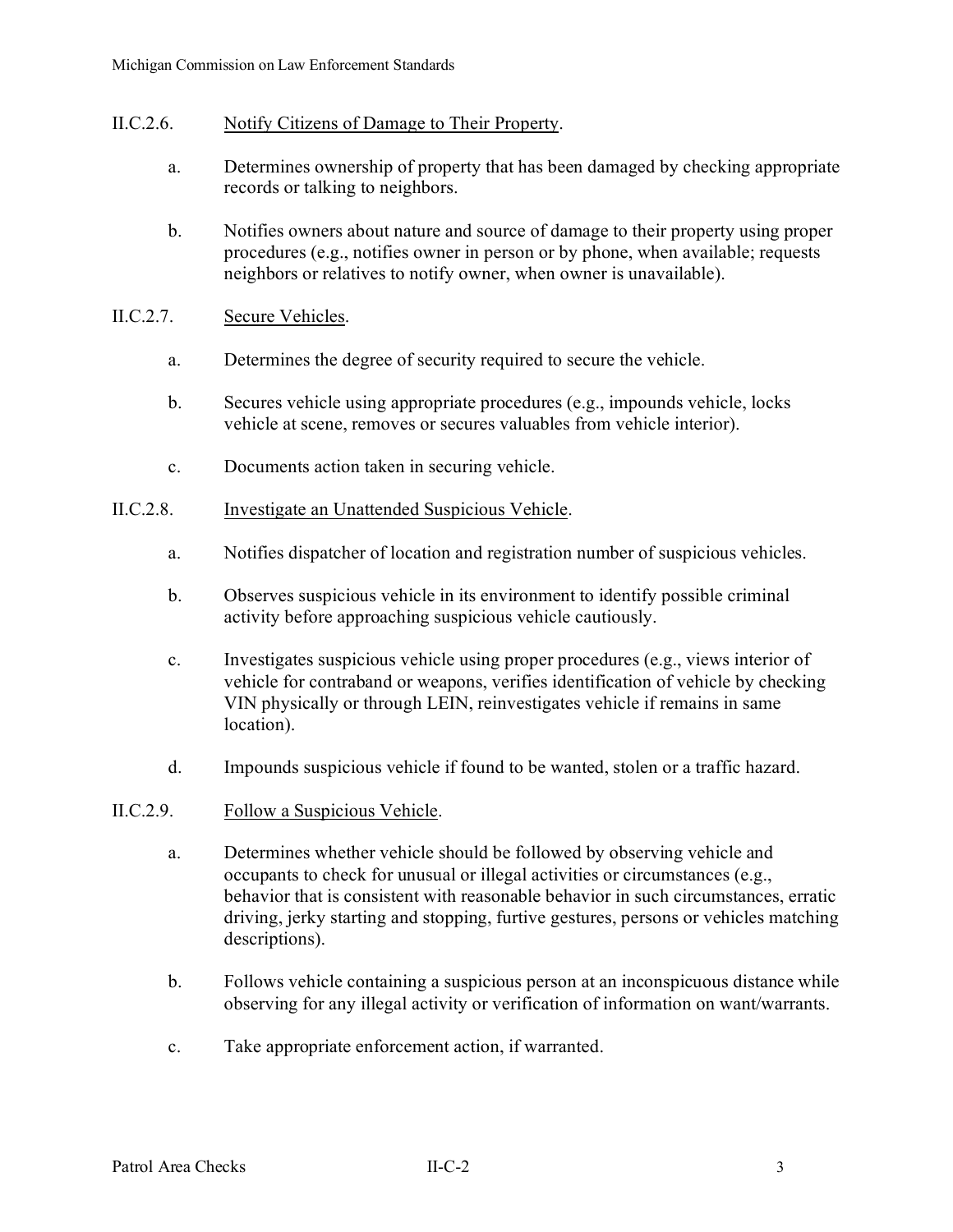### II.C.2.6. Notify Citizens of Damage to Their Property.

- a. Determines ownership of property that has been damaged by checking appropriate records or talking to neighbors.
- b. Notifies owners about nature and source of damage to their property using proper procedures (e.g., notifies owner in person or by phone, when available; requests neighbors or relatives to notify owner, when owner is unavailable).

## II.C.2.7. Secure Vehicles.

- a. Determines the degree of security required to secure the vehicle.
- b. Secures vehicle using appropriate procedures (e.g., impounds vehicle, locks vehicle at scene, removes or secures valuables from vehicle interior).
- c. Documents action taken in securing vehicle.

## II.C.2.8. Investigate an Unattended Suspicious Vehicle.

- a. Notifies dispatcher of location and registration number of suspicious vehicles.
- b. Observes suspicious vehicle in its environment to identify possible criminal activity before approaching suspicious vehicle cautiously.
- c. Investigates suspicious vehicle using proper procedures (e.g., views interior of vehicle for contraband or weapons, verifies identification of vehicle by checking VIN physically or through LEIN, reinvestigates vehicle if remains in same location).
- d. Impounds suspicious vehicle if found to be wanted, stolen or a traffic hazard.

### II.C.2.9. Follow a Suspicious Vehicle.

- a. Determines whether vehicle should be followed by observing vehicle and occupants to check for unusual or illegal activities or circumstances (e.g., behavior that is consistent with reasonable behavior in such circumstances, erratic driving, jerky starting and stopping, furtive gestures, persons or vehicles matching descriptions).
- b. Follows vehicle containing a suspicious person at an inconspicuous distance while observing for any illegal activity or verification of information on want/warrants.
- c. Take appropriate enforcement action, if warranted.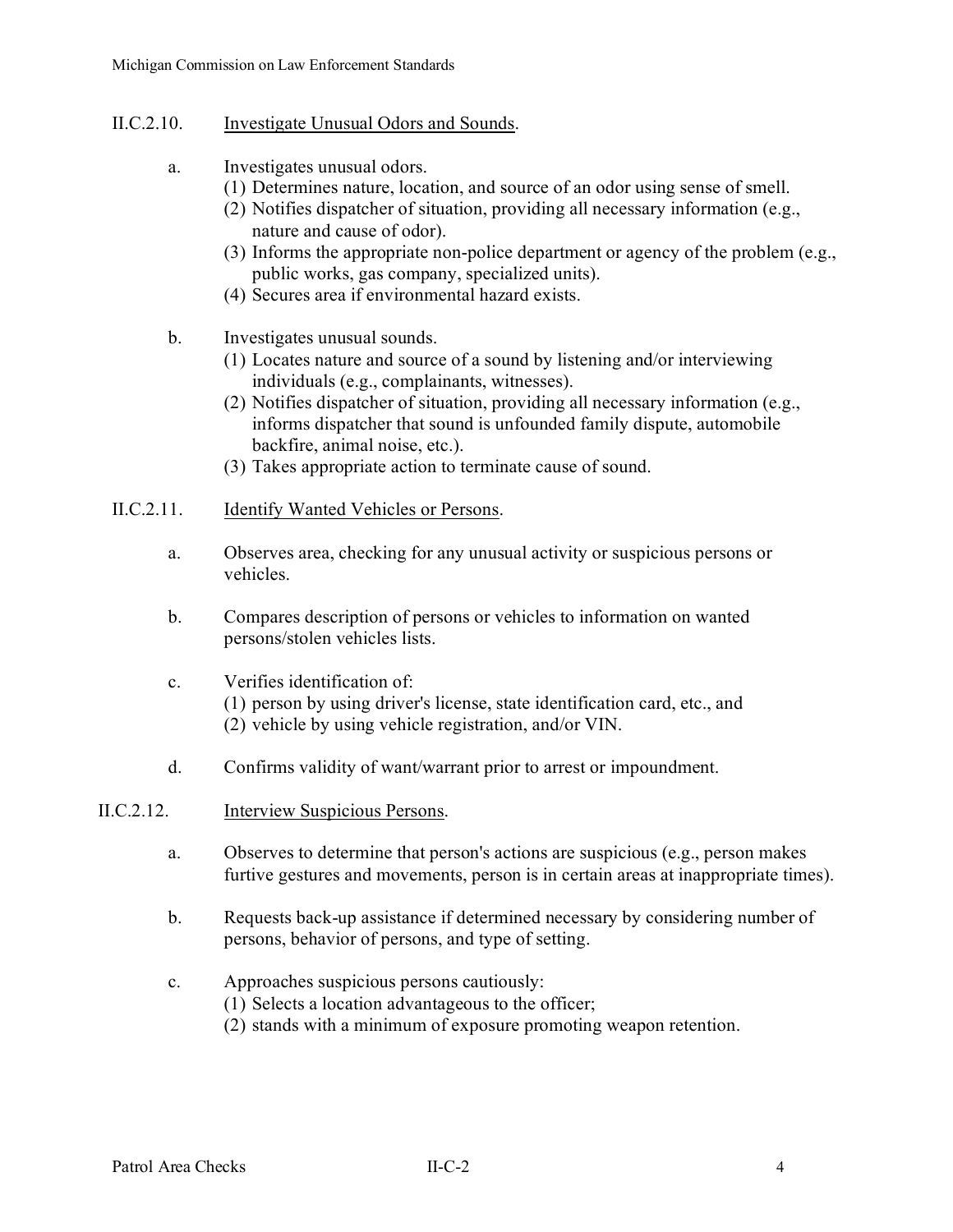- II.C.2.10. Investigate Unusual Odors and Sounds.
	- a. Investigates unusual odors.
		- (1) Determines nature, location, and source of an odor using sense of smell.
		- (2) Notifies dispatcher of situation, providing all necessary information (e.g., nature and cause of odor).
		- (3) Informs the appropriate non-police department or agency of the problem (e.g., public works, gas company, specialized units).
		- (4) Secures area if environmental hazard exists.
	- b. Investigates unusual sounds.
		- (1) Locates nature and source of a sound by listening and/or interviewing individuals (e.g., complainants, witnesses).
		- (2) Notifies dispatcher of situation, providing all necessary information (e.g., informs dispatcher that sound is unfounded family dispute, automobile backfire, animal noise, etc.).
		- (3) Takes appropriate action to terminate cause of sound.

## II.C.2.11. Identify Wanted Vehicles or Persons.

- a. Observes area, checking for any unusual activity or suspicious persons or vehicles.
- b. Compares description of persons or vehicles to information on wanted persons/stolen vehicles lists.

# c. Verifies identification of: (1) person by using driver's license, state identification card, etc., and (2) vehicle by using vehicle registration, and/or VIN.

d. Confirms validity of want/warrant prior to arrest or impoundment.

### II.C.2.12. Interview Suspicious Persons.

- a. Observes to determine that person's actions are suspicious (e.g., person makes furtive gestures and movements, person is in certain areas at inappropriate times).
- b. Requests back-up assistance if determined necessary by considering number of persons, behavior of persons, and type of setting.
- c. Approaches suspicious persons cautiously:
	- (1) Selects a location advantageous to the officer;
	- (2) stands with a minimum of exposure promoting weapon retention.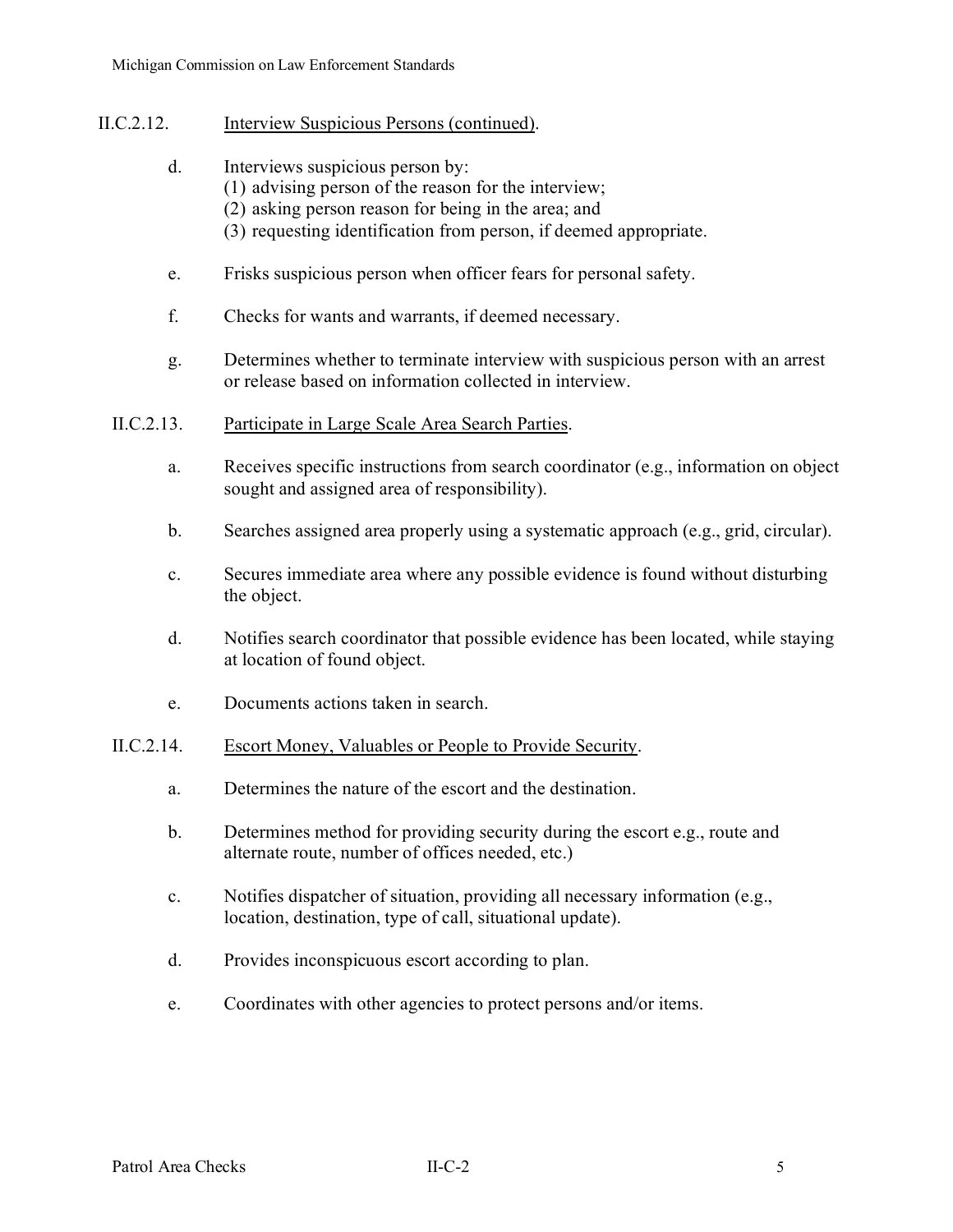- II.C.2.12. Interview Suspicious Persons (continued).
	- d. Interviews suspicious person by:
		- (1) advising person of the reason for the interview;
		- (2) asking person reason for being in the area; and
		- (3) requesting identification from person, if deemed appropriate.
	- e. Frisks suspicious person when officer fears for personal safety.
	- f. Checks for wants and warrants, if deemed necessary.
	- g. Determines whether to terminate interview with suspicious person with an arrest or release based on information collected in interview.
	- II.C.2.13. Participate in Large Scale Area Search Parties.
		- a. Receives specific instructions from search coordinator (e.g., information on object sought and assigned area of responsibility).
		- b. Searches assigned area properly using a systematic approach (e.g., grid, circular).
		- c. Secures immediate area where any possible evidence is found without disturbing the object.
		- d. Notifies search coordinator that possible evidence has been located, while staying at location of found object.
		- e. Documents actions taken in search.

# II.C.2.14. Escort Money, Valuables or People to Provide Security.

- a. Determines the nature of the escort and the destination.
- b. Determines method for providing security during the escort e.g., route and alternate route, number of offices needed, etc.)
- c. Notifies dispatcher of situation, providing all necessary information (e.g., location, destination, type of call, situational update).
- d. Provides inconspicuous escort according to plan.
- e. Coordinates with other agencies to protect persons and/or items.